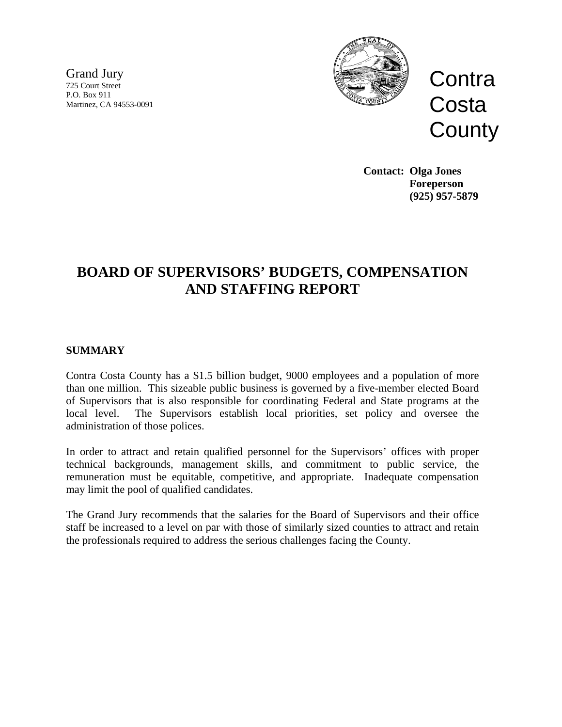Grand Jury 725 Court Street P.O. Box 911 Martinez, CA 94553-0091



**Contra Costa County** 

**Contact: Olga Jones Foreperson (925) 957-5879** 

# **BOARD OF SUPERVISORS' BUDGETS, COMPENSATION AND STAFFING REPORT**

## **SUMMARY**

Contra Costa County has a \$1.5 billion budget, 9000 employees and a population of more than one million. This sizeable public business is governed by a five-member elected Board of Supervisors that is also responsible for coordinating Federal and State programs at the local level. The Supervisors establish local priorities, set policy and oversee the administration of those polices.

In order to attract and retain qualified personnel for the Supervisors' offices with proper technical backgrounds, management skills, and commitment to public service, the remuneration must be equitable, competitive, and appropriate. Inadequate compensation may limit the pool of qualified candidates.

The Grand Jury recommends that the salaries for the Board of Supervisors and their office staff be increased to a level on par with those of similarly sized counties to attract and retain the professionals required to address the serious challenges facing the County.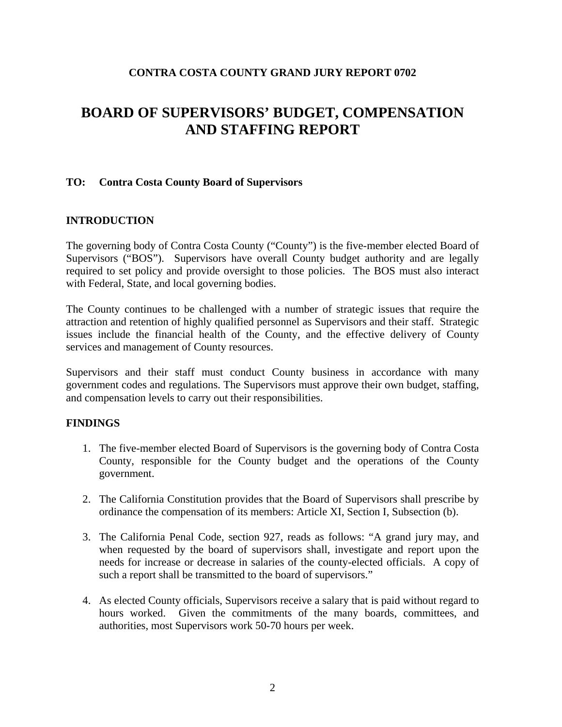### **CONTRA COSTA COUNTY GRAND JURY REPORT 0702**

# **BOARD OF SUPERVISORS' BUDGET, COMPENSATION AND STAFFING REPORT**

### **TO: Contra Costa County Board of Supervisors**

## **INTRODUCTION**

The governing body of Contra Costa County ("County") is the five-member elected Board of Supervisors ("BOS"). Supervisors have overall County budget authority and are legally required to set policy and provide oversight to those policies. The BOS must also interact with Federal, State, and local governing bodies.

The County continues to be challenged with a number of strategic issues that require the attraction and retention of highly qualified personnel as Supervisors and their staff. Strategic issues include the financial health of the County, and the effective delivery of County services and management of County resources.

Supervisors and their staff must conduct County business in accordance with many government codes and regulations. The Supervisors must approve their own budget, staffing, and compensation levels to carry out their responsibilities.

### **FINDINGS**

- 1. The five-member elected Board of Supervisors is the governing body of Contra Costa County, responsible for the County budget and the operations of the County government.
- 2. The California Constitution provides that the Board of Supervisors shall prescribe by ordinance the compensation of its members: Article XI, Section I, Subsection (b).
- 3. The California Penal Code, section 927, reads as follows: "A grand jury may, and when requested by the board of supervisors shall, investigate and report upon the needs for increase or decrease in salaries of the county-elected officials. A copy of such a report shall be transmitted to the board of supervisors."
- 4. As elected County officials, Supervisors receive a salary that is paid without regard to hours worked. Given the commitments of the many boards, committees, and authorities, most Supervisors work 50-70 hours per week.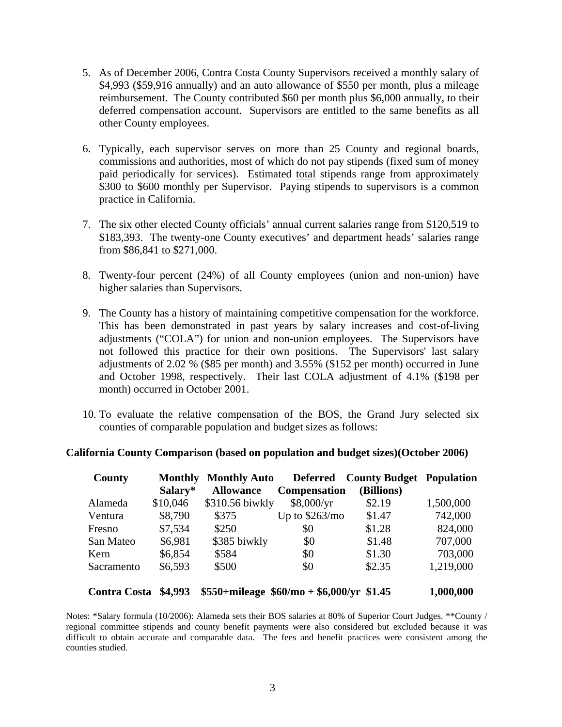- 5. As of December 2006, Contra Costa County Supervisors received a monthly salary of \$4,993 (\$59,916 annually) and an auto allowance of \$550 per month, plus a mileage reimbursement. The County contributed \$60 per month plus \$6,000 annually, to their deferred compensation account. Supervisors are entitled to the same benefits as all other County employees.
- 6. Typically, each supervisor serves on more than 25 County and regional boards, commissions and authorities, most of which do not pay stipends (fixed sum of money paid periodically for services). Estimated total stipends range from approximately \$300 to \$600 monthly per Supervisor. Paying stipends to supervisors is a common practice in California.
- 7. The six other elected County officials' annual current salaries range from \$120,519 to \$183,393. The twenty-one County executives' and department heads' salaries range from \$86,841 to \$271,000.
- 8. Twenty-four percent (24%) of all County employees (union and non-union) have higher salaries than Supervisors.
- 9. The County has a history of maintaining competitive compensation for the workforce. This has been demonstrated in past years by salary increases and cost-of-living adjustments ("COLA") for union and non-union employees. The Supervisors have not followed this practice for their own positions. The Supervisors' last salary adjustments of  $2.02\%$  (\$85 per month) and  $3.55\%$  (\$152 per month) occurred in June and October 1998, respectively. Their last COLA adjustment of 4.1% (\$198 per month) occurred in October 2001.
- 10. To evaluate the relative compensation of the BOS, the Grand Jury selected six counties of comparable population and budget sizes as follows:

|  |  |  | California County Comparison (based on population and budget sizes) (October 2006) |  |
|--|--|--|------------------------------------------------------------------------------------|--|
|  |  |  |                                                                                    |  |

| County              | Monthly<br>Salary* | <b>Monthly Auto</b><br><b>Allowance</b> | <b>Deferred</b><br><b>Compensation</b>      | <b>County Budget Population</b><br>(Billions) |           |
|---------------------|--------------------|-----------------------------------------|---------------------------------------------|-----------------------------------------------|-----------|
| Alameda             | \$10,046           | \$310.56 biwkly                         | \$8,000/yr                                  | \$2.19                                        | 1,500,000 |
| Ventura             | \$8,790            | \$375                                   | Up to $$263/mo$                             | \$1.47                                        | 742,000   |
| Fresno              | \$7,534            | \$250                                   | \$0                                         | \$1.28                                        | 824,000   |
| San Mateo           | \$6,981            | \$385 biwkly                            | \$0                                         | \$1.48                                        | 707,000   |
| Kern                | \$6,854            | \$584                                   | \$0                                         | \$1.30                                        | 703,000   |
| Sacramento          | \$6,593            | \$500                                   | \$0                                         | \$2.35                                        | 1,219,000 |
| <b>Contra Costa</b> | \$4,993            |                                         | $$550+mileage \ $60/mo + $6,000/yr \ $1.45$ |                                               | 1,000,000 |

Notes: \*Salary formula (10/2006): Alameda sets their BOS salaries at 80% of Superior Court Judges. \*\*County / regional committee stipends and county benefit payments were also considered but excluded because it was difficult to obtain accurate and comparable data. The fees and benefit practices were consistent among the counties studied.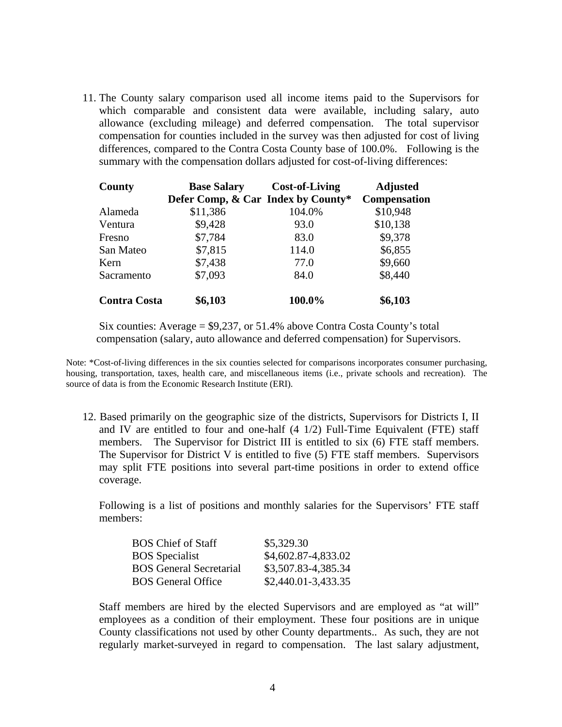11. The County salary comparison used all income items paid to the Supervisors for which comparable and consistent data were available, including salary, auto allowance (excluding mileage) and deferred compensation. The total supervisor compensation for counties included in the survey was then adjusted for cost of living differences, compared to the Contra Costa County base of 100.0%. Following is the summary with the compensation dollars adjusted for cost-of-living differences:

| County              | <b>Base Salary</b>                 | <b>Cost-of-Living</b> | <b>Adjusted</b>     |  |
|---------------------|------------------------------------|-----------------------|---------------------|--|
|                     | Defer Comp, & Car Index by County* |                       | <b>Compensation</b> |  |
| Alameda             | \$11,386                           | 104.0%                | \$10,948            |  |
| Ventura             | \$9,428                            | 93.0                  | \$10,138            |  |
| Fresno              | \$7,784                            | 83.0                  | \$9,378             |  |
| San Mateo           | \$7,815                            | 114.0                 | \$6,855             |  |
| Kern                | \$7,438                            | 77.0                  | \$9,660             |  |
| Sacramento          | \$7,093                            | 84.0                  | \$8,440             |  |
| <b>Contra Costa</b> | \$6,103                            | 100.0%                | \$6,103             |  |

Six counties: Average = \$9,237, or 51.4% above Contra Costa County's total compensation (salary, auto allowance and deferred compensation) for Supervisors.

Note: \*Cost-of-living differences in the six counties selected for comparisons incorporates consumer purchasing, housing, transportation, taxes, health care, and miscellaneous items (i.e., private schools and recreation). The source of data is from the Economic Research Institute (ERI).

12. Based primarily on the geographic size of the districts, Supervisors for Districts I, II and IV are entitled to four and one-half (4 1/2) Full-Time Equivalent (FTE) staff members. The Supervisor for District III is entitled to six (6) FTE staff members. The Supervisor for District V is entitled to five (5) FTE staff members. Supervisors may split FTE positions into several part-time positions in order to extend office coverage.

Following is a list of positions and monthly salaries for the Supervisors' FTE staff members:

| <b>BOS</b> Chief of Staff      | \$5,329.30             |
|--------------------------------|------------------------|
| <b>BOS</b> Specialist          | \$4,602.87-4,833.02    |
| <b>BOS</b> General Secretarial | \$3,507.83-4,385.34    |
| <b>BOS</b> General Office      | $$2,440.01 - 3,433.35$ |

Staff members are hired by the elected Supervisors and are employed as "at will" employees as a condition of their employment. These four positions are in unique County classifications not used by other County departments.. As such, they are not regularly market-surveyed in regard to compensation. The last salary adjustment,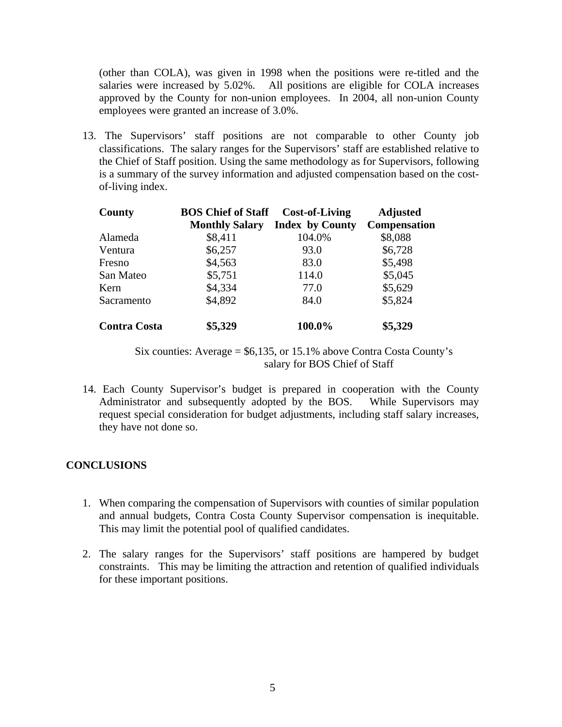(other than COLA), was given in 1998 when the positions were re-titled and the salaries were increased by 5.02%. All positions are eligible for COLA increases approved by the County for non-union employees. In 2004, all non-union County employees were granted an increase of 3.0%.

13. The Supervisors' staff positions are not comparable to other County job classifications. The salary ranges for the Supervisors' staff are established relative to the Chief of Staff position. Using the same methodology as for Supervisors, following is a summary of the survey information and adjusted compensation based on the costof-living index.

| County              | <b>BOS Chief of Staff</b><br><b>Monthly Salary</b> | <b>Cost-of-Living</b><br><b>Index by County</b> | <b>Adjusted</b><br>Compensation |
|---------------------|----------------------------------------------------|-------------------------------------------------|---------------------------------|
| Alameda             | \$8,411                                            | 104.0%                                          | \$8,088                         |
| Ventura             | \$6,257                                            | 93.0                                            | \$6,728                         |
| Fresno              | \$4,563                                            | 83.0                                            | \$5,498                         |
| San Mateo           | \$5,751                                            | 114.0                                           | \$5,045                         |
| Kern                | \$4,334                                            | 77.0                                            | \$5,629                         |
| Sacramento          | \$4,892                                            | 84.0                                            | \$5,824                         |
| <b>Contra Costa</b> | \$5,329                                            | 100.0%                                          | \$5,329                         |

Six counties: Average = \$6,135, or 15.1% above Contra Costa County's salary for BOS Chief of Staff

14. Each County Supervisor's budget is prepared in cooperation with the County Administrator and subsequently adopted by the BOS. While Supervisors may request special consideration for budget adjustments, including staff salary increases, they have not done so.

### **CONCLUSIONS**

- 1. When comparing the compensation of Supervisors with counties of similar population and annual budgets, Contra Costa County Supervisor compensation is inequitable. This may limit the potential pool of qualified candidates.
- 2. The salary ranges for the Supervisors' staff positions are hampered by budget constraints. This may be limiting the attraction and retention of qualified individuals for these important positions.